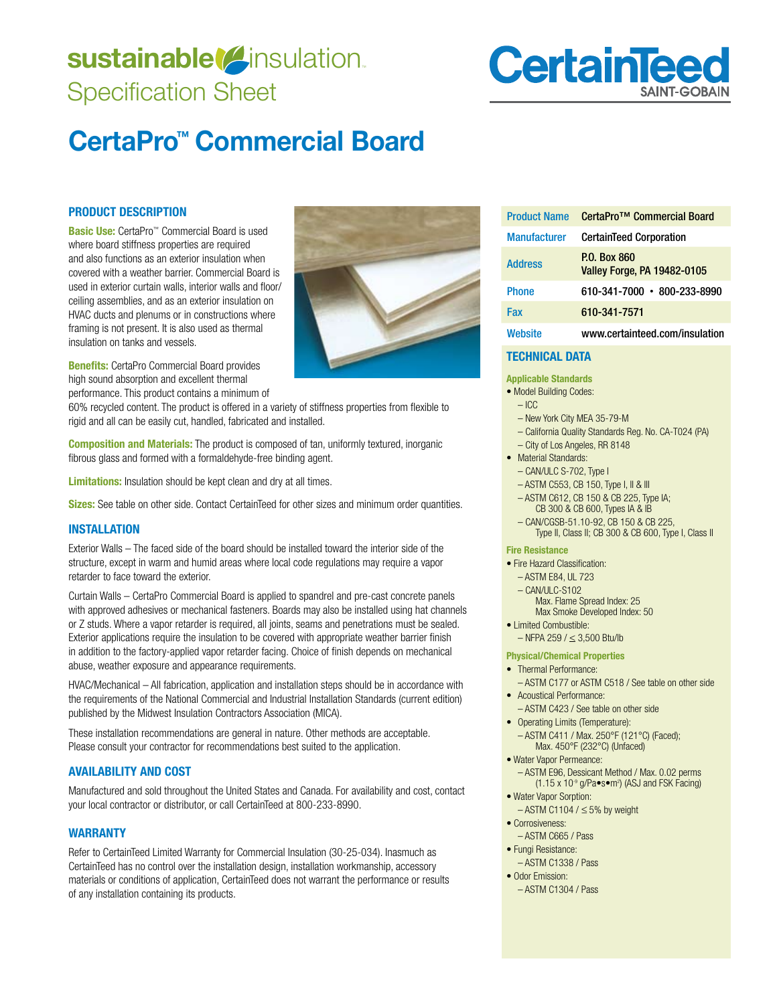## sustainable<sup>(2)</sup>insulation. Specification Sheet

# **CertainTee**

## **CertaPro™ Commercial Board**

#### **PRODUCT DESCRIPTION**

**Basic Use:** CertaPro™ Commercial Board is used where board stiffness properties are required and also functions as an exterior insulation when covered with a weather barrier. Commercial Board is used in exterior curtain walls, interior walls and floor/ ceiling assemblies, and as an exterior insulation on HVAC ducts and plenums or in constructions where framing is not present. It is also used as thermal insulation on tanks and vessels.



**Benefits:** CertaPro Commercial Board provides high sound absorption and excellent thermal performance. This product contains a minimum of

60% recycled content. The product is offered in a variety of stiffness properties from flexible to rigid and all can be easily cut, handled, fabricated and installed.

**Composition and Materials:** The product is composed of tan, uniformly textured, inorganic fibrous glass and formed with a formaldehyde-free binding agent.

**Limitations:** Insulation should be kept clean and dry at all times.

**Sizes:** See table on other side. Contact CertainTeed for other sizes and minimum order quantities.

#### **INSTALLATION**

Exterior Walls – The faced side of the board should be installed toward the interior side of the structure, except in warm and humid areas where local code regulations may require a vapor retarder to face toward the exterior.

Curtain Walls – CertaPro Commercial Board is applied to spandrel and pre-cast concrete panels with approved adhesives or mechanical fasteners. Boards may also be installed using hat channels or Z studs. Where a vapor retarder is required, all joints, seams and penetrations must be sealed. Exterior applications require the insulation to be covered with appropriate weather barrier finish in addition to the factory-applied vapor retarder facing. Choice of finish depends on mechanical abuse, weather exposure and appearance requirements.

HVAC/Mechanical – All fabrication, application and installation steps should be in accordance with the requirements of the National Commercial and Industrial Installation Standards (current edition) published by the Midwest Insulation Contractors Association (MICA).

These installation recommendations are general in nature. Other methods are acceptable. Please consult your contractor for recommendations best suited to the application.

#### **AVAILABILITY AND COST**

Manufactured and sold throughout the United States and Canada. For availability and cost, contact your local contractor or distributor, or call CertainTeed at 800-233-8990.

#### **WARRANTY**

Refer to CertainTeed Limited Warranty for Commercial Insulation (30-25-034). Inasmuch as CertainTeed has no control over the installation design, installation workmanship, accessory materials or conditions of application, CertainTeed does not warrant the performance or results of any installation containing its products.

| <b>Product Name</b> | CertaPro <sup>™</sup> Commercial Board                    |
|---------------------|-----------------------------------------------------------|
| <b>Manufacturer</b> | <b>CertainTeed Corporation</b>                            |
| <b>Address</b>      | <b>P.O. Box 860</b><br><b>Valley Forge, PA 19482-0105</b> |
| <b>Phone</b>        | 610-341-7000 • 800-233-8990                               |
| Fax                 | 610-341-7571                                              |
| Website             | www.certainteed.com/insulation                            |

#### **TECHNICAL DATA**

#### **Applicable Standards**

- · Model Building Codes:
- $-$  ICC
- New York City MEA 35-79-M
- California Quality Standards Reg. No. CA-T024 (PA) – City of Los Angeles, RR 8148
- Material Standards:
	- CAN/ULC S-702, Type I
	- ASTM C553, CB 150, Type I, II & III
	- ASTM C612, CB 150 & CB 225, Type IA;
	- CB 300 & CB 600, Types IA & IB – CAN/CGSB-51.10-92, CB 150 & CB 225,
	- Type II, Class II; CB 300 & CB 600, Type I, Class II

#### **Fire Resistance**

- Fire Hazard Classification:
- ASTM E84, UL 723 – CAN/ULC-S102
- Max. Flame Spread Index: 25 Max Smoke Developed Index: 50
- · I imited Combustible:
	- $-$  NFPA 259 /  $\leq$  3,500 Btu/lb

#### **Physical/Chemical Properties**

- Thermal Performance:
- ASTM C177 or ASTM C518 / See table on other side
- Acoustical Performance: – ASTM C423 / See table on other side
- Operating Limits (Temperature):
	- ASTM C411 / Max. 250°F (121°C) (Faced); Max. 450°F (232°C) (Unfaced)
- · Water Vapor Permeance: – ASTM E96, Dessicant Method / Max. 0.02 perms  $(1.15 \times 10^{9} \text{ g/Pa} \cdot \text{s} \cdot \text{m}^{2})$  (ASJ and FSK Facing)
- Water Vapor Sorption:  $-$  ASTM C1104 /  $\leq$  5% by weight
- Corrosiveness:
- ASTM C665 / Pass
- Fungi Resistance: – ASTM C1338 / Pass
- $\bullet$  Odor Emission:
	- ASTM C1304 / Pass